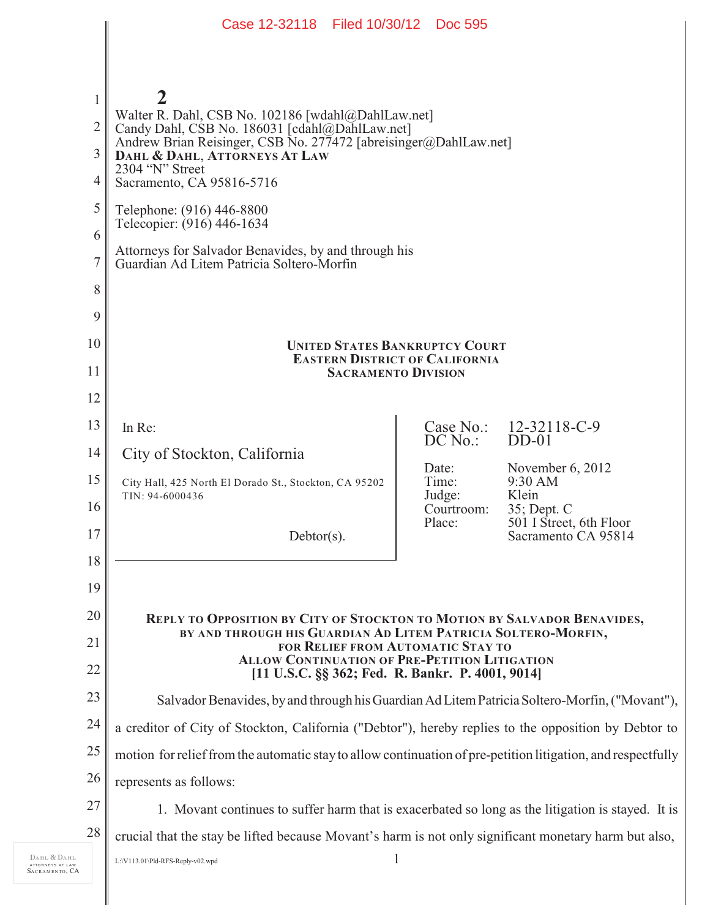|                | Case 12-32118 Filed 10/30/12 Doc 595                                                                                                                                                                                         |                        |                                        |
|----------------|------------------------------------------------------------------------------------------------------------------------------------------------------------------------------------------------------------------------------|------------------------|----------------------------------------|
|                |                                                                                                                                                                                                                              |                        |                                        |
|                |                                                                                                                                                                                                                              |                        |                                        |
| $\mathbf{1}$   |                                                                                                                                                                                                                              |                        |                                        |
| $\overline{2}$ | Walter R. Dahl, CSB No. 102186 [wdahl@DahlLaw.net]<br>Candy Dahl, CSB No. 186031 [cdahl@DahlLaw.net]<br>Andrew Brian Reisinger, CSB No. 277472 [abreisinger@DahlLaw.net]<br>DAHL & DAHL, ATTORNEYS AT LAW<br>2304 "N" Street |                        |                                        |
| 3              |                                                                                                                                                                                                                              |                        |                                        |
| 4              | Sacramento, CA 95816-5716                                                                                                                                                                                                    |                        |                                        |
| 5              | Telephone: (916) 446-8800<br>Telecopier: (916) 446-1634                                                                                                                                                                      |                        |                                        |
| 6              | Attorneys for Salvador Benavides, by and through his                                                                                                                                                                         |                        |                                        |
| $\tau$         | Guardian Ad Litem Patricia Soltero-Morfin                                                                                                                                                                                    |                        |                                        |
| 8              |                                                                                                                                                                                                                              |                        |                                        |
| 9              |                                                                                                                                                                                                                              |                        |                                        |
| 10             | <b>UNITED STATES BANKRUPTCY COURT</b><br><b>EASTERN DISTRICT OF CALIFORNIA</b>                                                                                                                                               |                        |                                        |
| 11             | <b>SACRAMENTO DIVISION</b>                                                                                                                                                                                                   |                        |                                        |
| 12             |                                                                                                                                                                                                                              |                        |                                        |
| 13             | In Re:                                                                                                                                                                                                                       | Case No.:<br>$DC$ No.: | 12-32118-C-9<br>$DD-01$                |
| 14             | City of Stockton, California                                                                                                                                                                                                 | Date:                  | November 6, 2012                       |
| 15             | City Hall, 425 North El Dorado St., Stockton, CA 95202<br>TIN: 94-6000436                                                                                                                                                    | Time:<br>Judge:        | 9:30 AM<br>Klein                       |
| 16             |                                                                                                                                                                                                                              | Courtroom:<br>Place:   | 35; Dept. C<br>501 I Street, 6th Floor |
| 17             | $Debtor(s)$ .                                                                                                                                                                                                                |                        | Sacramento CA 95814                    |
| 18             |                                                                                                                                                                                                                              |                        |                                        |
| 19             |                                                                                                                                                                                                                              |                        |                                        |
| 20             | <b>REPLY TO OPPOSITION BY CITY OF STOCKTON TO MOTION BY SALVADOR BENAVIDES,</b><br>BY AND THROUGH HIS GUARDIAN AD LITEM PATRICIA SOLTERO-MORFIN,                                                                             |                        |                                        |
| 21<br>22       | FOR RELIEF FROM AUTOMATIC STAY TO<br><b>ALLOW CONTINUATION OF PRE-PETITION LITIGATION</b><br>[11 U.S.C. §§ 362; Fed. R. Bankr. P. 4001, 9014]                                                                                |                        |                                        |
| 23             | Salvador Benavides, by and through his Guardian Ad Litem Patricia Soltero-Morfin, ("Movant"),                                                                                                                                |                        |                                        |
| 24             | a creditor of City of Stockton, California ("Debtor"), hereby replies to the opposition by Debtor to                                                                                                                         |                        |                                        |
| 25             | motion for relief from the automatic stay to allow continuation of pre-petition litigation, and respectfully                                                                                                                 |                        |                                        |
| 26             | represents as follows:                                                                                                                                                                                                       |                        |                                        |
| 27             | 1. Movant continues to suffer harm that is exacerbated so long as the litigation is stayed. It is                                                                                                                            |                        |                                        |
| 28             | crucial that the stay be lifted because Movant's harm is not only significant monetary harm but also,                                                                                                                        |                        |                                        |
|                | 1<br>L:\V113.01\Pld-RFS-Reply-v02.wpd                                                                                                                                                                                        |                        |                                        |
|                |                                                                                                                                                                                                                              |                        |                                        |

DAHL & DAHL ATTORNEYS AT LAW SACRAMENTO , CA